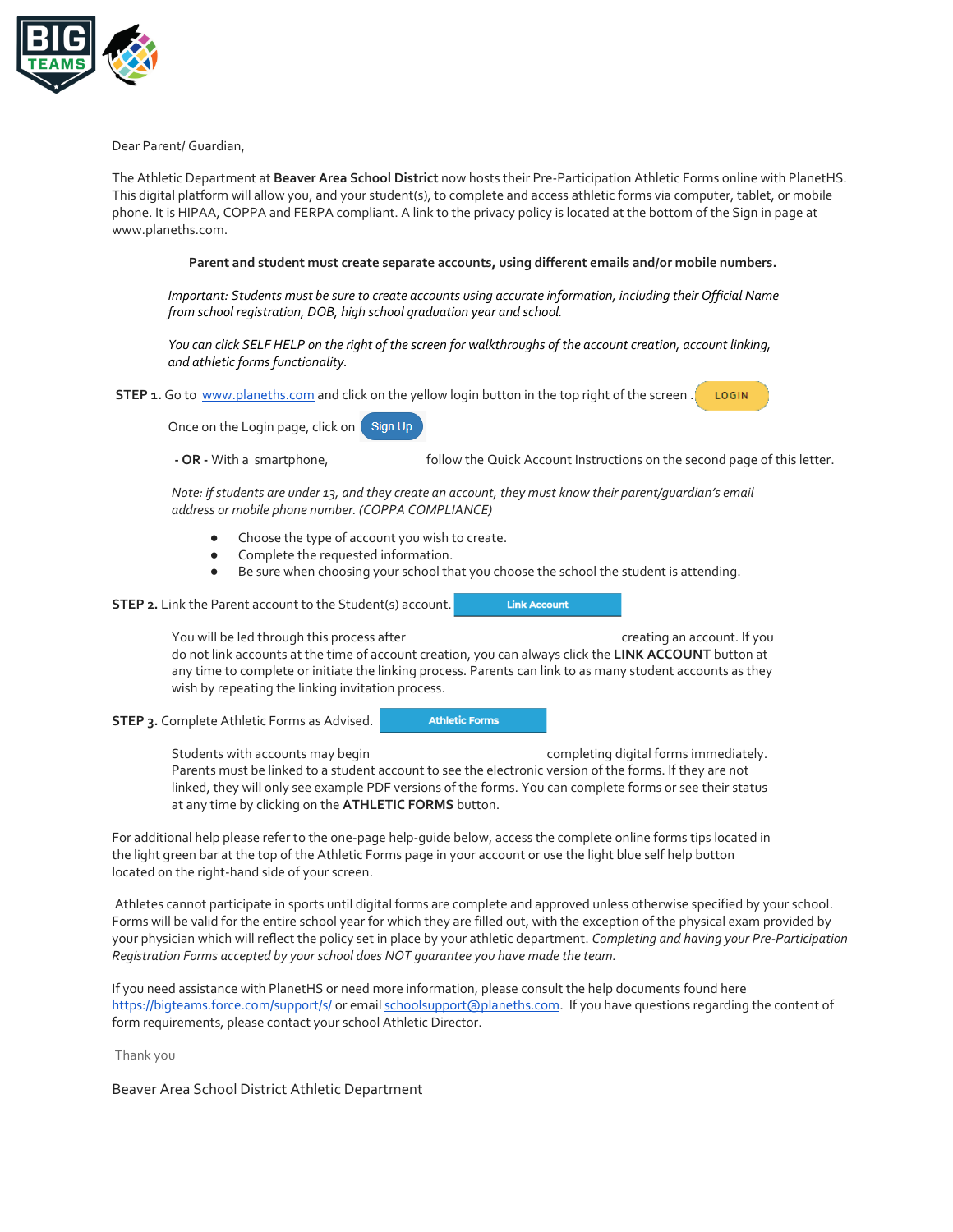

Dear Parent/ Guardian,

The Athletic Department at **Beaver Area School District** now hosts their Pre-Participation Athletic Forms online with PlanetHS. This digital platform will allow you, and your student(s), to complete and access athletic forms via computer, tablet, or mobile phone. It is HIPAA, COPPA and FERPA compliant. A link to the privacy policy is located at the bottom of the Sign in page at www.planeths.com.

## **Parent and student must create separate accounts, using different emails and/or mobile numbers.**

*Important: Students must be sure to create accounts using accurate information, including their Official Name from school registration, DOB, high school graduation year and school.* 

*You can click SELF HELP on the right of the screen for walkthroughs of the account creation, account linking, and athletic forms functionality.*

**STEP 1.** Go to [www.planeths.com](https://www.planeths.com/) and click on the yellow login button in the top right of the screen. LOGIN

Once on the Login page, click on Sign Up

**- OR -** With a smartphone, follow the Quick Account Instructions on the second page of this letter.

**Link Account** 

*Note: if students are under 13, and they create an account, they must know their parent/guardian's email address or mobile phone number. (COPPA COMPLIANCE)*

- Choose the type of account you wish to create.
- Complete the requested information.
- Be sure when choosing your school that you choose the school the student is attending.

**STEP 2.** Link the Parent account to the Student(s) account.

You will be led through this process after creating an account. If you do not link accounts at the time of account creation, you can always click the **LINK ACCOUNT** button at any time to complete or initiate the linking process. Parents can link to as many student accounts as they wish by repeating the linking invitation process.

**STEP 3.** Complete Athletic Forms as Advised.

**Athletic Forms** 

Students with accounts may begin example that completing digital forms immediately. Parents must be linked to a student account to see the electronic version of the forms. If they are not linked, they will only see example PDF versions of the forms. You can complete forms or see their status at any time by clicking on the **ATHLETIC FORMS** button.

For additional help please refer to the one-page help-guide below, access the complete online forms tips located in the light green bar at the top of the Athletic Forms page in your account or use the light blue self help button located on the right-hand side of your screen.

Athletes cannot participate in sports until digital forms are complete and approved unless otherwise specified by your school. Forms will be valid for the entire school year for which they are filled out, with the exception of the physical exam provided by your physician which will reflect the policy set in place by your athletic department. *Completing and having your Pre-Participation Registration Forms accepted by your school does NOT guarantee you have made the team.*

If you need assistance with PlanetHS or need more information, please consult the help documents found here <https://bigteams.force.com/support/s/> or emai[l schoolsupport@planeths.com.](mailto:schoolsupport@planeths.com) If you have questions regarding the content of form requirements, please contact your school Athletic Director.

Thank you

Beaver Area School District Athletic Department